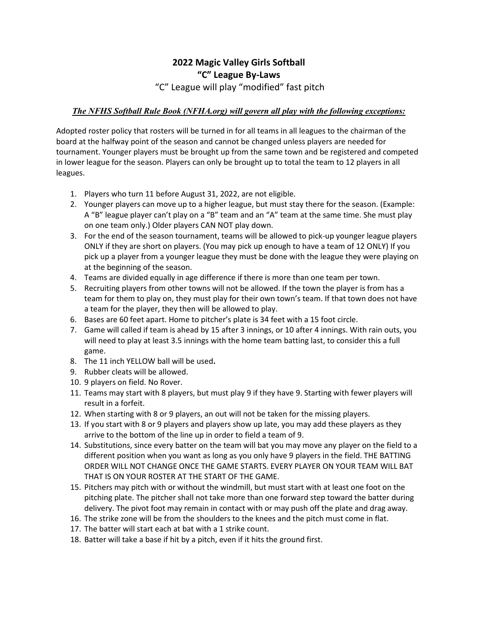## **2022 Magic Valley Girls Softball "C" League By-Laws**  "C" League will play "modified" fast pitch

## *The NFHS Softball Rule Book (NFHA.org) will govern all play with the following exceptions:*

Adopted roster policy that rosters will be turned in for all teams in all leagues to the chairman of the board at the halfway point of the season and cannot be changed unless players are needed for tournament. Younger players must be brought up from the same town and be registered and competed in lower league for the season. Players can only be brought up to total the team to 12 players in all leagues.

- 1. Players who turn 11 before August 31, 2022, are not eligible.
- 2. Younger players can move up to a higher league, but must stay there for the season. (Example: A "B" league player can't play on a "B" team and an "A" team at the same time. She must play on one team only.) Older players CAN NOT play down.
- 3. For the end of the season tournament, teams will be allowed to pick-up younger league players ONLY if they are short on players. (You may pick up enough to have a team of 12 ONLY) If you pick up a player from a younger league they must be done with the league they were playing on at the beginning of the season.
- 4. Teams are divided equally in age difference if there is more than one team per town.
- 5. Recruiting players from other towns will not be allowed. If the town the player is from has a team for them to play on, they must play for their own town's team. If that town does not have a team for the player, they then will be allowed to play.
- 6. Bases are 60 feet apart. Home to pitcher's plate is 34 feet with a 15 foot circle.
- 7. Game will called if team is ahead by 15 after 3 innings, or 10 after 4 innings. With rain outs, you will need to play at least 3.5 innings with the home team batting last, to consider this a full game.
- 8. The 11 inch YELLOW ball will be used**.**
- 9. Rubber cleats will be allowed.
- 10. 9 players on field. No Rover.
- 11. Teams may start with 8 players, but must play 9 if they have 9. Starting with fewer players will result in a forfeit.
- 12. When starting with 8 or 9 players, an out will not be taken for the missing players.
- 13. If you start with 8 or 9 players and players show up late, you may add these players as they arrive to the bottom of the line up in order to field a team of 9.
- 14. Substitutions, since every batter on the team will bat you may move any player on the field to a different position when you want as long as you only have 9 players in the field. THE BATTING ORDER WILL NOT CHANGE ONCE THE GAME STARTS. EVERY PLAYER ON YOUR TEAM WILL BAT THAT IS ON YOUR ROSTER AT THE START OF THE GAME.
- 15. Pitchers may pitch with or without the windmill, but must start with at least one foot on the pitching plate. The pitcher shall not take more than one forward step toward the batter during delivery. The pivot foot may remain in contact with or may push off the plate and drag away.
- 16. The strike zone will be from the shoulders to the knees and the pitch must come in flat.
- 17. The batter will start each at bat with a 1 strike count.
- 18. Batter will take a base if hit by a pitch, even if it hits the ground first.